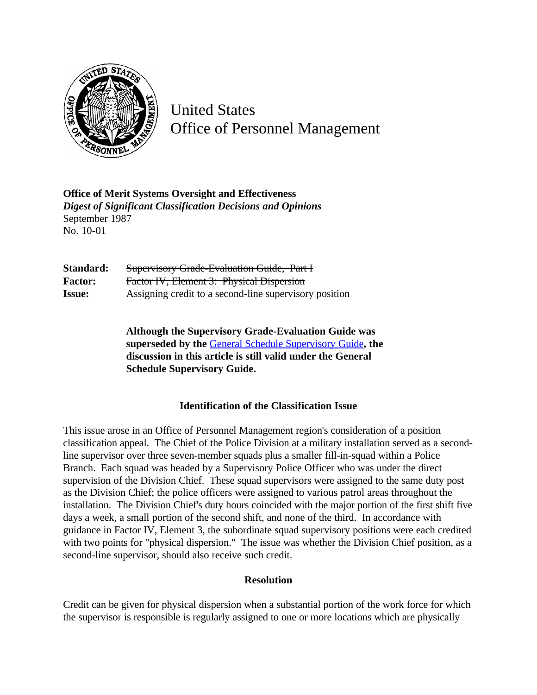

United States Office of Personnel Management

**Office of Merit Systems Oversight and Effectiveness** *Digest of Significant Classification Decisions and Opinions* September 1987 No. 10-01

**Standard:** Supervisory Grade-Evaluation Guide, Part I **Factor:** Factor IV, Element 3: Physical Dispersion **Issue:** Assigning credit to a second-line supervisory position

> **Although the Supervisory Grade-Evaluation Guide was superseded by the** [General Schedule Supervisory Guide](http://www.opm.gov/hr/fedclass/gssg.pdf)**, the discussion in this article is still valid under the General Schedule Supervisory Guide.**

## **Identification of the Classification Issue**

This issue arose in an Office of Personnel Management region's consideration of a position classification appeal. The Chief of the Police Division at a military installation served as a secondline supervisor over three seven-member squads plus a smaller fill-in-squad within a Police Branch. Each squad was headed by a Supervisory Police Officer who was under the direct supervision of the Division Chief. These squad supervisors were assigned to the same duty post as the Division Chief; the police officers were assigned to various patrol areas throughout the installation. The Division Chief's duty hours coincided with the major portion of the first shift five days a week, a small portion of the second shift, and none of the third. In accordance with guidance in Factor IV, Element 3, the subordinate squad supervisory positions were each credited with two points for "physical dispersion." The issue was whether the Division Chief position, as a second-line supervisor, should also receive such credit.

## **Resolution**

Credit can be given for physical dispersion when a substantial portion of the work force for which the supervisor is responsible is regularly assigned to one or more locations which are physically